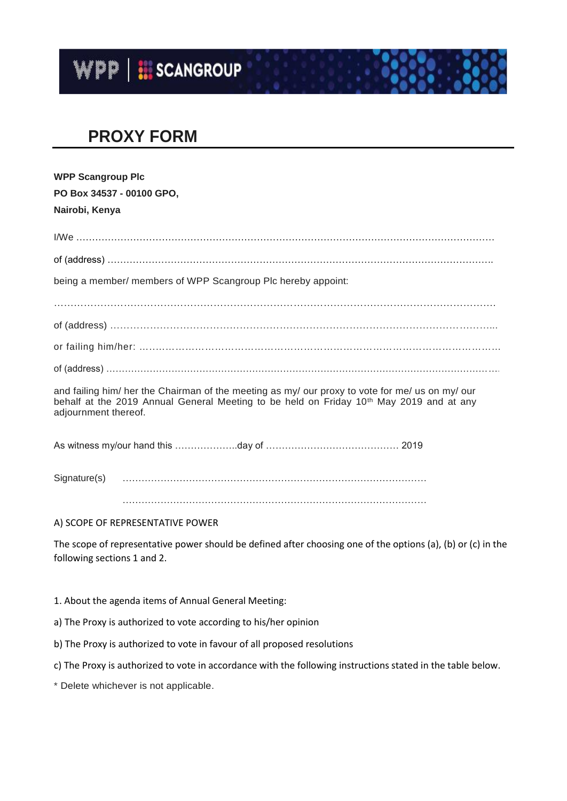

## **PROXY FORM**

| <b>WPP Scangroup Plc</b>                                                                                                                                                                                                       |
|--------------------------------------------------------------------------------------------------------------------------------------------------------------------------------------------------------------------------------|
| PO Box 34537 - 00100 GPO,                                                                                                                                                                                                      |
| Nairobi, Kenya                                                                                                                                                                                                                 |
|                                                                                                                                                                                                                                |
|                                                                                                                                                                                                                                |
| being a member/ members of WPP Scangroup Plc hereby appoint:                                                                                                                                                                   |
|                                                                                                                                                                                                                                |
|                                                                                                                                                                                                                                |
|                                                                                                                                                                                                                                |
|                                                                                                                                                                                                                                |
| and failing him/ her the Chairman of the meeting as my/ our proxy to vote for me/ us on my/ our<br>behalf at the 2019 Annual General Meeting to be held on Friday 10 <sup>th</sup> May 2019 and at any<br>adjournment thereof. |
|                                                                                                                                                                                                                                |
|                                                                                                                                                                                                                                |

……………………………………………………………………………………

A) SCOPE OF REPRESENTATIVE POWER

The scope of representative power should be defined after choosing one of the options (a), (b) or (c) in the following sections 1 and 2.

1. About the agenda items of Annual General Meeting:

a) The Proxy is authorized to vote according to his/her opinion

b) The Proxy is authorized to vote in favour of all proposed resolutions

c) The Proxy is authorized to vote in accordance with the following instructions stated in the table below.

\* Delete whichever is not applicable.